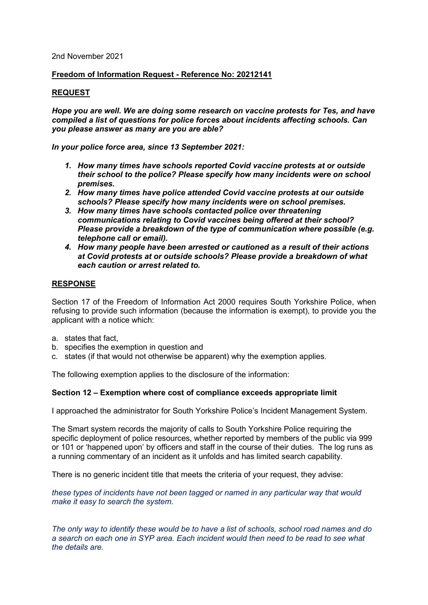### 2nd November 2021

## **Freedom of Information Request - Reference No: 20212141**

### **REQUEST**

*Hope you are well. We are doing some research on vaccine protests for Tes, and have compiled a list of questions for police forces about incidents affecting schools. Can you please answer as many are you are able?*

*In your police force area, since 13 September 2021:*

- *1. How many times have schools reported Covid vaccine protests at or outside their school to the police? Please specify how many incidents were on school premises.*
- *2. How many times have police attended Covid vaccine protests at our outside schools? Please specify how many incidents were on school premises.*
- *3. How many times have schools contacted police over threatening communications relating to Covid vaccines being offered at their school? Please provide a breakdown of the type of communication where possible (e.g. telephone call or email).*
- *4. How many people have been arrested or cautioned as a result of their actions at Covid protests at or outside schools? Please provide a breakdown of what each caution or arrest related to.*

# **RESPONSE**

Section 17 of the Freedom of Information Act 2000 requires South Yorkshire Police, when refusing to provide such information (because the information is exempt), to provide you the applicant with a notice which:

- a. states that fact,
- b. specifies the exemption in question and
- c. states (if that would not otherwise be apparent) why the exemption applies.

The following exemption applies to the disclosure of the information:

### **Section 12 – Exemption where cost of compliance exceeds appropriate limit**

I approached the administrator for South Yorkshire Police's Incident Management System.

The Smart system records the majority of calls to South Yorkshire Police requiring the specific deployment of police resources, whether reported by members of the public via 999 or 101 or 'happened upon' by officers and staff in the course of their duties. The log runs as a running commentary of an incident as it unfolds and has limited search capability.

There is no generic incident title that meets the criteria of your request, they advise:

*these types of incidents have not been tagged or named in any particular way that would make it easy to search the system.*

*The only way to identify these would be to have a list of schools, school road names and do a search on each one in SYP area. Each incident would then need to be read to see what the details are.*